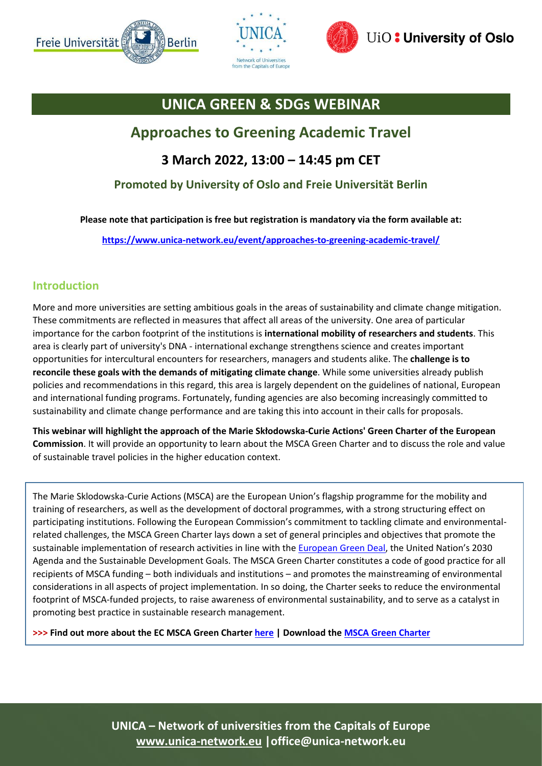





# **UNICA GREEN & SDGs WEBINAR**

## **Approaches to Greening Academic Travel**

### **3 March 2022, 13:00 – 14:45 pm CET**

#### **Promoted by University of Oslo and Freie Universität Berlin**

**Please note that participation is free but registration is mandatory via the form available at:**

**<https://www.unica-network.eu/event/approaches-to-greening-academic-travel/>**

#### **Introduction**

More and more universities are setting ambitious goals in the areas of sustainability and climate change mitigation. These commitments are reflected in measures that affect all areas of the university. One area of particular importance for the carbon footprint of the institutions is **international mobility of researchers and students**. This area is clearly part of university's DNA - international exchange strengthens science and creates important opportunities for intercultural encounters for researchers, managers and students alike. The **challenge is to reconcile these goals with the demands of mitigating climate change**. While some universities already publish policies and recommendations in this regard, this area is largely dependent on the guidelines of national, European and international funding programs. Fortunately, funding agencies are also becoming increasingly committed to sustainability and climate change performance and are taking this into account in their calls for proposals.

**This webinar will highlight the approach of the Marie Skłodowska-Curie Actions' Green Charter of the European Commission**. It will provide an opportunity to learn about the MSCA Green Charter and to discuss the role and value of sustainable travel policies in the higher education context.

The Marie Sklodowska-Curie Actions (MSCA) are the European Union's flagship programme for the mobility and training of researchers, as well as the development of doctoral programmes, with a strong structuring effect on participating institutions. Following the European Commission's commitment to tackling climate and environmentalrelated challenges, the MSCA Green Charter lays down a set of general principles and objectives that promote the sustainable implementation of research activities in line with th[e European Green Deal](https://ec.europa.eu/info/strategy/priorities-2019-2024/european-green-deal_en), the United Nation's 2030 Agenda and the Sustainable Development Goals. The MSCA Green Charter constitutes a code of good practice for all recipients of MSCA funding – both individuals and institutions – and promotes the mainstreaming of environmental considerations in all aspects of project implementation. In so doing, the Charter seeks to reduce the environmental footprint of MSCA-funded projects, to raise awareness of environmental sustainability, and to serve as a catalyst in promoting best practice in sustainable research management.

**>>> Find out more about the EC MSCA Green Charte[r here](https://marie-sklodowska-curie-actions.ec.europa.eu/green-charter) | Download the [MSCA Green Charter](https://op.europa.eu/en/publication-detail/-/publication/2bfbb0d9-9b3c-11eb-b85c-01aa75ed71a1/language-en)**

**UNICA – Network of universities from the Capitals of Europe [www.unica-network.eu](http://www.unica.eu/) |office@unica-network.eu**